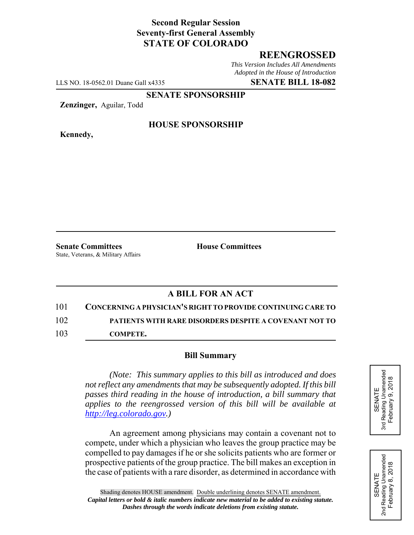## **Second Regular Session Seventy-first General Assembly STATE OF COLORADO**

## **REENGROSSED**

*This Version Includes All Amendments Adopted in the House of Introduction*

LLS NO. 18-0562.01 Duane Gall x4335 **SENATE BILL 18-082**

#### **SENATE SPONSORSHIP**

**Zenzinger,** Aguilar, Todd

**Kennedy,**

#### **HOUSE SPONSORSHIP**

**Senate Committees House Committees** State, Veterans, & Military Affairs

# **A BILL FOR AN ACT**

101 **CONCERNING A PHYSICIAN'S RIGHT TO PROVIDE CONTINUING CARE TO** 102 **PATIENTS WITH RARE DISORDERS DESPITE A COVENANT NOT TO**

103 **COMPETE.**

### **Bill Summary**

*(Note: This summary applies to this bill as introduced and does not reflect any amendments that may be subsequently adopted. If this bill passes third reading in the house of introduction, a bill summary that applies to the reengrossed version of this bill will be available at http://leg.colorado.gov.)*

An agreement among physicians may contain a covenant not to compete, under which a physician who leaves the group practice may be compelled to pay damages if he or she solicits patients who are former or prospective patients of the group practice. The bill makes an exception in the case of patients with a rare disorder, as determined in accordance with



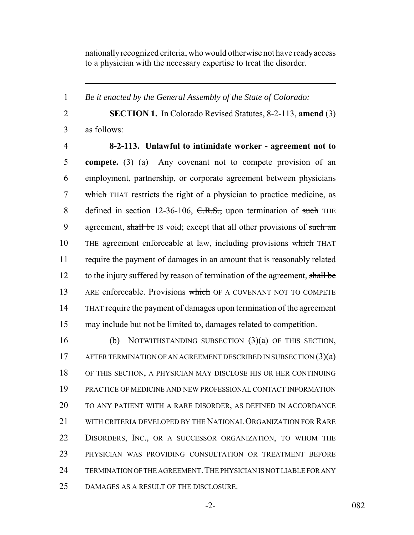nationally recognized criteria, who would otherwise not have ready access to a physician with the necessary expertise to treat the disorder.

*Be it enacted by the General Assembly of the State of Colorado:*

 **SECTION 1.** In Colorado Revised Statutes, 8-2-113, **amend** (3) as follows:

 **8-2-113. Unlawful to intimidate worker - agreement not to compete.** (3) (a) Any covenant not to compete provision of an employment, partnership, or corporate agreement between physicians which THAT restricts the right of a physician to practice medicine, as 8 defined in section 12-36-106, C.R.S., upon termination of such THE 9 agreement, shall be IS void; except that all other provisions of such an 10 THE agreement enforceable at law, including provisions which THAT require the payment of damages in an amount that is reasonably related 12 to the injury suffered by reason of termination of the agreement, shall be 13 ARE enforceable. Provisions which OF A COVENANT NOT TO COMPETE THAT require the payment of damages upon termination of the agreement 15 may include but not be limited to, damages related to competition.

 (b) NOTWITHSTANDING SUBSECTION (3)(a) OF THIS SECTION, 17 AFTER TERMINATION OF AN AGREEMENT DESCRIBED IN SUBSECTION (3)(a) OF THIS SECTION, A PHYSICIAN MAY DISCLOSE HIS OR HER CONTINUING PRACTICE OF MEDICINE AND NEW PROFESSIONAL CONTACT INFORMATION TO ANY PATIENT WITH A RARE DISORDER, AS DEFINED IN ACCORDANCE WITH CRITERIA DEVELOPED BY THE NATIONAL ORGANIZATION FOR RARE DISORDERS, INC., OR A SUCCESSOR ORGANIZATION, TO WHOM THE PHYSICIAN WAS PROVIDING CONSULTATION OR TREATMENT BEFORE 24 TERMINATION OF THE AGREEMENT. THE PHYSICIAN IS NOT LIABLE FOR ANY DAMAGES AS A RESULT OF THE DISCLOSURE.